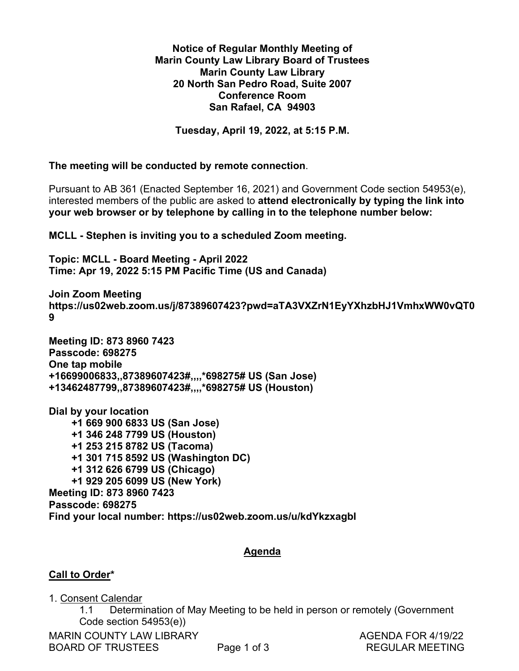### **Notice of Regular Monthly Meeting of** Notice of Regular Monthly Meeting of **Marin County Law Library Board of Trustees** Marin County Law Library Board of Trustees **Marin County Law Library** Marin County Law Library **20 North San Pedro Road, Suite 2007** 20 North San Pedro Road, Suite 2007 **Conference Room** Conference Room **San Rafael, CA 94903** San Rafael, CA 94903

**Tuesday, April 19, 2022, at 5:15 P.M.** Tuesday, April 19, 2022, at 5:15 P.M.

**The meeting will be conducted by remote connection**. The meeting will be conducted by remote connection.

Pursuant to AB 361 (Enacted September 16, 2021) and Government Code section 54953(e), Pursuant to AB 361 (Enacted September 16, 2021) and Government Code section 54953(e), interested members of the public are asked to **attend electronically by typing the link into**  interested members of the public are asked to attend electronically by typing the link into **your web browser or by telephone by calling in to the telephone number below:**  your web browser or by telephone by calling in to the telephone number below:

**MCLL - Stephen is inviting you to a scheduled Zoom meeting.** MCLL - Stephen is inviting you to a scheduled Zoom meeting.

**Topic: MCLL - Board Meeting - April 2022** Topic: MCLL - Board Meeting - April 2022 **Time: Apr 19, 2022 5:15 PM Pacific Time (US and Canada)** Time: Apr 19, 2022 5:15 PM Pacific Time (US and Canada)

**Join Zoom Meeting** Join Zoom Meeting **https://us02web.zoom.us/j/87389607423?pwd=aTA3VXZrN1EyYXhzbHJ1VmhxWW0vQT0** https://usO2web.zoom.us/j/87389607423?pwd=aTA3VXZrN1 EyYXhzbHJ1VmhxwWWO0vQT0 **9**  9

**Meeting ID: 873 8960 7423** Meeting ID: 873 8960 7423 **Passcode: 698275** Passcode: 698275 **One tap mobile** One tap mobile **+16699006833,,87389607423#,,,,\*698275# US (San Jose)** +16699006833,,87389607423#,,,,\*698275# US (San Jose) **+13462487799,,87389607423#,,,,\*698275# US (Houston)** +13462487799,,87389607423#,,,,\*698275# US (Houston)

**Dial by your location** Dial by your location  **+1 669 900 6833 US (San Jose)** +1 669 900 6833 US (San Jose)  **+1 346 248 7799 US (Houston)** +1 346 248 7799 US (Houston)  **+1 253 215 8782 US (Tacoma)** +1 253 215 8782 US (Tacoma)  **+1 301 715 8592 US (Washington DC)** +1 301 715 8592 US (Washington DC)  **+1 312 626 6799 US (Chicago)** +1 312 626 6799 US (Chicago)  **+1 929 205 6099 US (New York)** +1 929 205 6099 US (New York) **Meeting ID: 873 8960 7423** Meeting ID: 873 8960 7423 **Passcode: 698275** Passcode: 698275 **Find your local number: https://us02web.zoom.us/u/kdYkzxagbI** Find your local number: https://usO2web.zoom.us/u/kdYkzxagbl

### **Agenda** Agenda

### **Call to Order\***  Call to Order\*

1. Consent Calendar 1. Consent Calendar

 1.1 Determination of May Meeting to be held in person or remotely (Government 1.1. Determination of May Meeting to be held in person or remotely (Government Code section 54953(e)) Code section 54953(e))

MARIN COUNTY LAW LIBRARY **AGENDA FOR 4/19/22** BOARD OF TRUSTEES Page 1 of 3 REGULAR MEETING BOARD OF TRUSTEES Page 1 of 3 REGULAR MEETING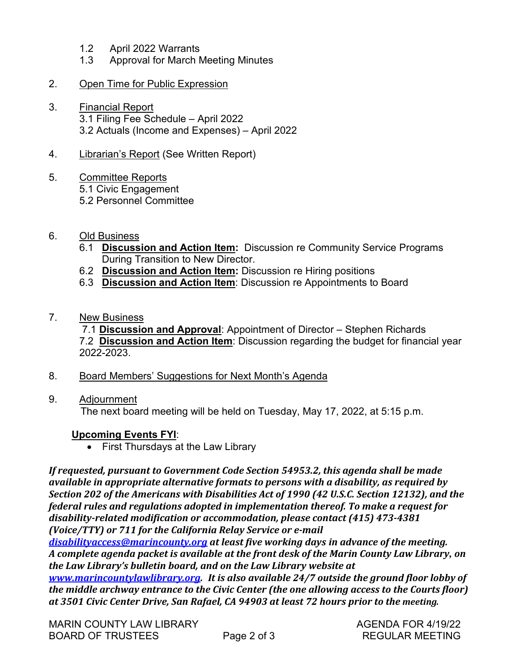- 1.2 April 2022 Warrants 1.2 April 2022 Warrants
- 1.3 Approval for March Meeting Minutes 1.3. Approval for March Meeting Minutes

### 2. Open Time for Public Expression

3. Financial Report 3. Financial Report 3.1 Filing Fee Schedule – April 2022 3.1 Filing Fee Schedule — April 2022

3.2 Actuals (Income and Expenses) – April 2022 3.2 Actuals (Income and Expenses) — April 2022

4. Librarian's Report (See Written Report) 4. Librarian's Report (See Written Report)

### 5. Committee Reports 5. Committee Reports

- 5.1 Civic Engagement 5.1 Civic Engagement
- 5.2 Personnel Committee 5.2 Personnel Committee
- 6. Old Business 6. Old Business
	- 6.1 **Discussion and Action Item:** Discussion re Community Service Programs 6.1 Discussion and Action Item: Discussion re Community Service Programs During Transition to New Director. During Transition to New Director.
	- 6.2 **Discussion and Action Item:** Discussion re Hiring positions 6.2 Discussion and Action Item: Discussion re Hiring positions
	- 6.3 **Discussion and Action Item**: Discussion re Appointments to Board 6.3 Discussion and Action Item: Discussion re Appointments to Board
- 7. New Business

 7.1 **Discussion and Approval**: Appointment of Director – Stephen Richards 7.1 Discussion and Approval: Appointment of Director — Stephen Richards 7.2 **Discussion and Action Item**: Discussion regarding the budget for financial year 7.2 Discussion and Action Item: Discussion regarding the budget for financial year 2022-2023. 2022-2023.

- 8. Board Members' Suggestions for Next Month's Agenda
- 9. Adjournment 9. Adjournment

The next board meeting will be held on Tuesday, May 17, 2022, at 5:15 p.m. The next board meeting will be held on Tuesday, May 17, 2022, at 5:15 p.m.

### **Upcoming Events FYI**: Upcoming Events FYI:

• First Thursdays at the Law Library

*If requested, pursuant to Government Code Section 54953.2, this agenda shall be made*  If requested, pursuant to Government Code Section 54953.2, this agenda shall be made *available in appropriate alternative formats to persons with a disability, as required by*  available in appropriate alternative formats to persons with a disability, as required by *Section 202 of the Americans with Disabilities Act of 1990 (42 U.S.C. Section 12132), and the*  Section 202 of the Americans with Disabilities Act of 1990 (42 U.S.C. Section 12132), and the *federal rules and regulations adopted in implementation thereof. To make a request for*  federal rules and regulations adopted in implementation thereof. To make a request for *disability-related modification or accommodation, please contact (415) 473-4381* disability-related modification or accommodation, please contact (415) 473-4381 *(Voice/TTY) or 711 for the California Relay Service or e-mail* (Voice/TTY) or 711 for the California Relay Service or e-mail

*[disabilityaccess@marincounty.org](mailto:disabilityaccess@marincounty.org) at least five working days in advance of the meeting.* disabilityaccess@marincounty.org at least five working days in advance of the meeting. *A complete agenda packet is available at the front desk of the Marin County Law Library, on*  A complete agenda packet is available at the front desk of the Marin County Law Library, on *the Law Library's bulletin board, and on the Law Library website at*  the Law Library's bulletin board, and on the Law Library website at

*[www.marincountylawlibrary.org.](http://www.marincountylawlibrary.org/) It is also available 24/7 outside the ground floor lobby of*  www.marincountylawlibrary.org. It is also available 24/7 outside the ground floor lobby of *the middle archway entrance to the Civic Center (the one allowing access to the Courts floor)*  the middle archway entrance to the Civic Center (the one allowing access to the Courts floor) *at 3501 Civic Center Drive, San Rafael, CA 94903 at least 72 hours prior to the meeting.* at 3501 Civic Center Drive, San Rafael, CA 94903 at least 72 hours prior to the meeting.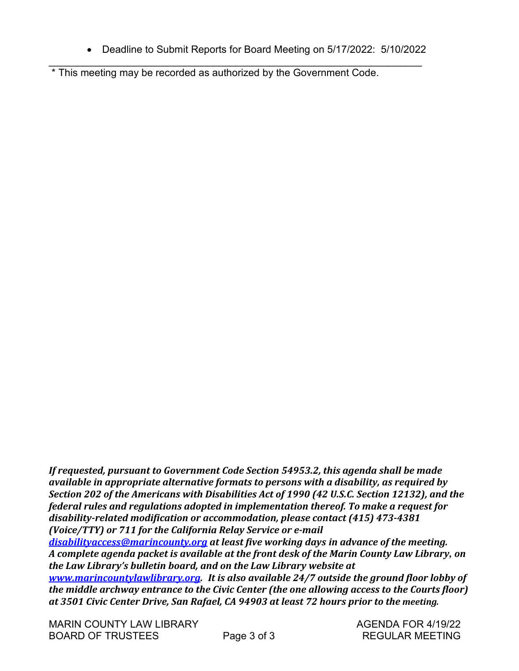• Deadline to Submit Reports for Board Meeting on 5/17/2022: 5/10/2022 e Deadline to Submit Reports for Board Meeting on 5/17/2022: 5/10/2022

\_\_\_\_\_\_\_\_\_\_\_\_\_\_\_\_\_\_\_\_\_\_\_\_\_\_\_\_\_\_\_\_\_\_\_\_\_\_\_\_\_\_\_\_\_\_\_\_\_\_\_\_\_\_\_\_\_\_\_\_\_\_\_\_\_\_ • Deadline to Submit Reports for Board Meeting on 5/17/2022:<br>\* This meeting may be recorded as authorized by the Government Code. \* This meeting may be recorded as authorized by the Government Code.

*If requested, pursuant to Government Code Section 54953.2, this agenda shall be made*  If requested, pursuant to Government Code Section 54953.2, this agenda shall be made *available in appropriate alternative formats to persons with a disability, as required by*  available in appropriate alternative formats to persons with a disability, as required by *Section 202 of the Americans with Disabilities Act of 1990 (42 U.S.C. Section 12132), and the*  Section 202 of the Americans with Disabilities Act of 1990 (42 U.S.C. Section 12132), and the *federal rules and regulations adopted in implementation thereof. To make a request for*  federal rules and regulations adopted in implementation thereof. To make a request for *disability-related modification or accommodation, please contact (415) 473-4381* disability-related modification or accommodation, please contact (415) 473-4381 *(Voice/TTY) or 711 for the California Relay Service or e-mail* (Voice/TTY) or 711 for the California Relay Service or e-mail

*[disabilityaccess@marincounty.org](mailto:disabilityaccess@marincounty.org) at least five working days in advance of the meeting.* disabilityaccess@marincounty.org at least five working days in advance of the meeting. *A complete agenda packet is available at the front desk of the Marin County Law Library, on*  A complete agenda packet is available at the front desk of the Marin County Law Library, on *the Law Library's bulletin board, and on the Law Library website at*  the Law Library's bulletin board, and on the Law Library website at

*[www.marincountylawlibrary.org.](http://www.marincountylawlibrary.org/) It is also available 24/7 outside the ground floor lobby of*  www.marincountylawlibrary.org. It is also available 24/7 outside the ground floor lobby of *the middle archway entrance to the Civic Center (the one allowing access to the Courts floor)*  the middle archway entrance to the Civic Center (the one allowing access to the Courts floor) *at 3501 Civic Center Drive, San Rafael, CA 94903 at least 72 hours prior to the meeting.* at 3501 Civic Center Drive, San Rafael, CA 94903 at least 72 hours prior to the meeting.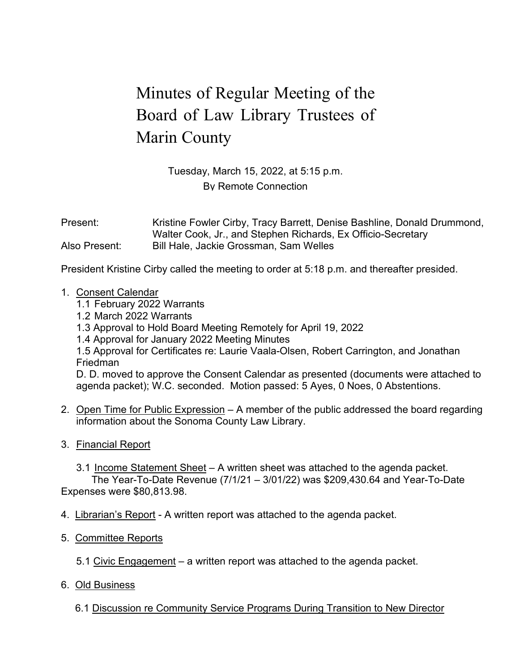## Minutes of Regular Meeting of the Minutes of Regular Meeting of the Board of Law Library Trustees of Board of Law Library Trustees of Marin County Marin County

Tuesday, March 15, 2022, at 5:15 p.m. Tuesday, March 15, 2022, at 5:15 p.m. By Remote Connection By Remote Connection

Present: Kristine Fowler Cirby, Tracy Barrett, Denise Bashline, Donald Drummond, Walter Cook, Jr., and Stephen Richards, Ex Officio-Secretary Walter Cook, Jr., and Stephen Richards, Ex Officio-Secretary Also Present: Bill Hale, Jackie Grossman, Sam Welles Also Present: Bill Hale, Jackie Grossman, Sam Welles

President Kristine Cirby called the meeting to order at 5:18 p.m. and thereafter presided. President Kristine Cirby called the meeting to order at 5:18 p.m. and thereafter presided.

- 1. Consent Calendar 1. Consent Calendar
	- 1.1 February 2022 Warrants 1.1 February 2022 Warrants
	- 1.2 March 2022 Warrants 1.2 March 2022 Warrants
	- 1.3 Approval to Hold Board Meeting Remotely for April 19, 2022 1.3 Approval to Hold Board Meeting Remotely for April 19, 2022
	- 1.4 Approval for January 2022 Meeting Minutes 1.4 Approval for January 2022 Meeting Minutes

1.5 Approval for Certificates re: Laurie Vaala-Olsen, Robert Carrington, and Jonathan 1.5 Approval for Certificates re: Laurie Vaala-Olsen, Robert Carrington, and Jonathan Friedman Friedman

D. D. moved to approve the Consent Calendar as presented (documents were attached to D. D. moved to approve the Consent Calendar as presented (documents were attached to agenda packet); W.C. seconded. Motion passed: 5 Ayes, 0 Noes, 0 Abstentions. agenda packet); W.C. seconded. Motion passed: 5 Ayes, 0 Noes, 0 Abstentions.

- 2. Open Time for Public Expression A member of the public addressed the board regarding information about the Sonoma County Law Library. information about the Sonoma County Law Library.
- 3. <u>Financial Report</u>
	- 3.1 Income Statement Sheet A written sheet was attached to the agenda packet. 3.1 Income Statement Sheet A written sheet was attached to the agenda packet.

The Year-To-Date Revenue (7/1/21 – 3/01/22) was \$209,430.64 and Year-To-Date The Year-To-Date Revenue (7/1/21 — 3/01/22) was \$209,430.64 and Year-To-Date Expenses were \$80,813.98. Expenses were \$80,813.98.

- 4. Librarian's Report A written report was attached to the agenda packet.
- 5. Committee Reports 5. Committee Reports
	- 5.1 Civic Engagement a written report was attached to the agenda packet.
- 6. Old Business Old Business

6.1 Discussion re Community Service Programs During Transition to New Director 6.1 Discussion re Community Service Programs During Transition to New Director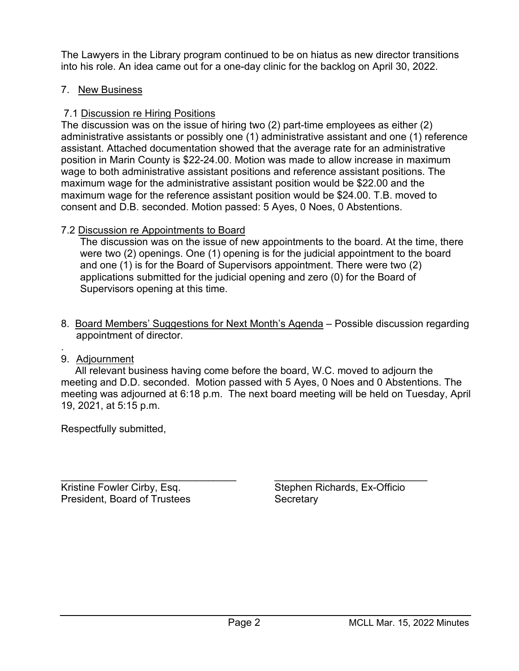The Lawyers in the Library program continued to be on hiatus as new director transitions The Lawyers in the Library program continued to be on hiatus as new director transitions into his role. An idea came out for a one-day clinic for the backlog on April 30, 2022. into his role. An idea came out for a one-day clinic for the backlog on April 30, 2022.

### 7. New Business

### 7.1 Discussion re Hiring Positions 7.1 Discussion re Hiring Positions

The discussion was on the issue of hiring two (2) part-time employees as either (2) The discussion was on the issue of hiring two (2) part-time employees as either (2) administrative assistants or possibly one (1) administrative assistant and one (1) reference administrative assistants or possibly one (1) administrative assistant and one (1) reference assistant. Attached documentation showed that the average rate for an administrative assistant. Attached documentation showed that the average rate for an administrative position in Marin County is \$22-24.00. Motion was made to allow increase in maximum position in Marin County is \$22-24.00. Motion was made to allow increase in maximum wage to both administrative assistant positions and reference assistant positions. The wage to both administrative assistant positions and reference assistant positions. The maximum wage for the administrative assistant position would be \$22.00 and the maximum wage for the administrative assistant position would be \$22.00 and the maximum wage for the reference assistant position would be \$24.00. T.B. moved to maximum wage for the reference assistant position would be \$24.00. T.B. moved to consent and D.B. seconded. Motion passed: 5 Ayes, 0 Noes, 0 Abstentions. consent and D.B. seconded. Motion passed: 5 Ayes, 0 Noes, 0 Abstentions.

### 7.2 Discussion re Appointments to Board 7.2 Discussion re Appointments to Board

The discussion was on the issue of new appointments to the board. At the time, there The discussion was on the issue of new appointments to the board. At the time, there were two (2) openings. One (1) opening is for the judicial appointment to the board were two (2) openings. One (1) opening is for the judicial appointment to the board and one (1) is for the Board of Supervisors appointment. There were two (2) and one (1) is for the Board of Supervisors appointment. There were two (2) applications submitted for the judicial opening and zero (0) for the Board of applications submitted for the judicial opening and zero (0) for the Board of Supervisors opening at this time. Supervisors opening at this time. 7.2 Discussion re Appointments to Board<br>The discussion was on the issue of new were two (2) openings. One (1) openings.<br>and one (1) is for the Board of Supervision<br>applications submitted for the judicial ope<br>Supervisors op

- 8. Board Members' Suggestions for Next Month's Agenda Possible discussion regarding 8. Board Members' Suggestions for Next Month's Agenda Possible discussion regarding appointment of director. appointment of director.
- . 9. <u>Adjournment</u>

 All relevant business having come before the board, W.C. moved to adjourn the All relevant business having come before the board, W.C. moved to adjourn the meeting and D.D. seconded. Motion passed with 5 Ayes, 0 Noes and 0 Abstentions. The meeting and D.D. seconded. Motion passed with 5 Ayes, 0 Noes and 0 Abstentions. The meeting was adjourned at 6:18 p.m. The next board meeting will be held on Tuesday, April meeting was adjourned at 6:18 p.m. The next board meeting will be held on Tuesday, April 19, 2021, at 5:15 p.m. 19, 2021, at 5:15 p.m. 8. <u>Board Members</u><br>
appointment of d<br>
.<br>
9. <u>Adjournment</u><br>
All relevant busin<br>
meeting and D.D. s<br>
meeting was adjour<br>
19, 2021, at 5:15 p.<br>
Respectfully submit

Respectfully submitted, Respectfully submitted,

\_\_\_\_\_\_\_\_\_\_\_\_\_\_\_\_\_\_\_\_\_\_\_\_\_\_\_\_\_\_\_ \_\_\_\_\_\_\_\_\_\_\_\_\_\_\_\_\_\_\_\_\_\_\_\_\_\_\_ Kristine Fowler Cirby, Esq. Stephen Richards, Ex-Officio President, Board of Trustees Secretary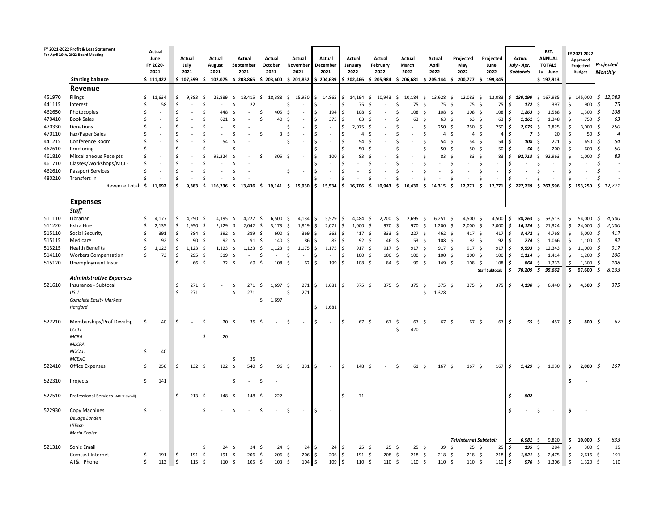|        | FY 2021-2022 Profit & Loss Statement<br>For April 19th, 2022 Board Meeting<br><b>Starting balance</b> |    | Actual<br>June<br>FY 2020-<br>2021<br>\$111,422 |         | Actual<br>July<br>2021<br>\$107,599 | -\$                | Actual<br>August<br>2021<br>102,075 \$ 203,865 |      | Actual<br>September<br>2021             | Actual<br>October<br>2021<br>$$203,600$$ $$201,852$ |                 |          | Actual<br>November<br>2021 |         | Actual<br>December<br>2021<br>\$204,639 |            | Actual<br>January<br>2022<br>\$202,466 |                     | Actual<br>February<br>2022<br>\$205,984 | Actual<br>March<br>2022<br>\$206,681 |                  | Actual<br>April<br>2022<br>\$205,144 |                   | Projected<br>May<br>2022<br>200,777 \$ 199,345<br>s. |                    | Projected<br>June<br>2022 |                        |           | Actual<br>July - Apr.<br><b>Subtotals</b> |               | EST.<br><b>ANNUAL</b><br><b>TOTALS</b><br>Jul - June<br>\$197,913 |         | FY 2021-2022<br>Approved<br>Projected<br><b>Budget</b> |             | Projected<br>Monthly |
|--------|-------------------------------------------------------------------------------------------------------|----|-------------------------------------------------|---------|-------------------------------------|--------------------|------------------------------------------------|------|-----------------------------------------|-----------------------------------------------------|-----------------|----------|----------------------------|---------|-----------------------------------------|------------|----------------------------------------|---------------------|-----------------------------------------|--------------------------------------|------------------|--------------------------------------|-------------------|------------------------------------------------------|--------------------|---------------------------|------------------------|-----------|-------------------------------------------|---------------|-------------------------------------------------------------------|---------|--------------------------------------------------------|-------------|----------------------|
|        | Revenue                                                                                               |    |                                                 |         |                                     |                    |                                                |      |                                         |                                                     |                 |          |                            |         |                                         |            |                                        |                     |                                         |                                      |                  |                                      |                   |                                                      |                    |                           |                        |           |                                           |               |                                                                   |         |                                                        |             |                      |
| 451970 | Filings                                                                                               | S. | 11,634                                          | Ŝ       | 9,383                               | - \$               | 22,889                                         | S.   | 13,415                                  | \$                                                  | 18,388 \$       |          | 15,930                     | \$      | 14,865                                  |            | $$14,194$ \$                           |                     | 10,943                                  | \$                                   | 10,184           | -\$                                  | 13,628            | - \$<br>12,083                                       | -\$                |                           | 12,083                 |           | \$130,190                                 |               | \$167,985                                                         |         | \$145,000                                              |             | \$12,083             |
| 441115 | Interest                                                                                              | Š. | 58                                              | Ś       |                                     | Ś                  |                                                | Ŝ    | 22                                      |                                                     |                 | Ŝ.       |                            |         |                                         | \$         | 75                                     |                     |                                         | S                                    | 75               | -S                                   | 75                | -S                                                   | 75<br>Ś            |                           | 75                     | Ś         | 172                                       | <sup>\$</sup> | 397                                                               | Ś       | 900                                                    | S,          | 75                   |
| 462650 | Photocopies                                                                                           |    |                                                 | Ś       |                                     | Ś                  | 448                                            | -Ś   |                                         |                                                     | 405             | Ŝ.       |                            | Ŝ.      | 194                                     | Ŝ          | 108                                    | S.                  |                                         |                                      | 108              | -\$                                  | 108               | -\$                                                  | 108<br>-Ś          |                           | 108 <sub>5</sub>       |           | 1,263                                     | l \$          | 1,588                                                             | Ś       | 1,300                                                  | Ŝ.          | 108                  |
| 470410 | <b>Book Sales</b>                                                                                     |    |                                                 | S       |                                     | Ś                  | 621                                            | -Ś   |                                         | .s                                                  | 40              | .s       |                            |         | 375                                     | Ś          | 63                                     | -S                  |                                         | S                                    | 63               |                                      | 63                | -\$                                                  | 63<br>-\$          |                           | 63                     | l s       | 1,161                                     | \$            | 1,348                                                             | Ś       | 750                                                    | S.          | 63                   |
| 470330 | Donations                                                                                             |    |                                                 | Ś       |                                     | Ś                  |                                                | -Ś   |                                         |                                                     |                 | .s       |                            | Ŝ.      |                                         | Ŝ          | 2,075                                  | -\$                 |                                         |                                      |                  | -Ŝ                                   | 250               | - S                                                  | 250<br>-\$         |                           | 250 <sub>5</sub>       |           | 2,075                                     | S.            | 2,825                                                             | Ś       | 3,000                                                  | -S          | 250                  |
| 470110 | Fax/Paper Sales                                                                                       |    |                                                 | Ś       |                                     | Ś                  |                                                | S.   |                                         | S.                                                  | 3               | Ŝ.       |                            | Ŝ.      | $\sim$                                  | Ŝ          | $\overline{4}$                         |                     |                                         |                                      |                  | .S                                   | 4                 | -\$                                                  | 4 <sup>5</sup>     |                           |                        | Ś         | -7                                        | -S            | 20                                                                |         | 50                                                     | S,          | $\overline{A}$       |
| 441215 | Conference Room                                                                                       |    |                                                 | Ś       |                                     | \$                 | 54                                             | S    |                                         |                                                     |                 | Š.       |                            | Ŝ.      | $\sim$                                  | Ŝ          | 54                                     |                     |                                         |                                      |                  | Ś                                    | 54                | -\$                                                  | 54<br>-\$          |                           | 54                     | l s       | 108                                       | Ŝ.            | 271                                                               | Ŝ       | 650                                                    | S,          | 54                   |
| 462610 | Proctoring                                                                                            |    |                                                 | Ś       |                                     | Ś                  |                                                |      |                                         |                                                     |                 |          |                            |         |                                         |            | 50                                     |                     |                                         |                                      |                  |                                      | 50                | - Ś                                                  | 50<br>-\$          |                           | 50                     | Ś         | 50                                        | .s            | 200                                                               |         | 600                                                    |             | 50                   |
| 461810 | <b>Miscellaneous Receipts</b>                                                                         |    |                                                 | Ś       |                                     | Ś                  | 92.224                                         | .S   |                                         | .S                                                  | 305             | -\$      |                            | Ŝ.      | 100                                     | Ś          | 83                                     |                     |                                         |                                      |                  | Ś                                    | 83                | - Ś                                                  | 83<br>-Ś           |                           | 83                     | l s       | 92,713                                    | \$            | 92,963                                                            | Ś       | 1,000                                                  | -S          | 83                   |
| 461710 | Classes/Workshops/MCLE                                                                                |    |                                                 | Ś       |                                     | Ś                  |                                                |      |                                         |                                                     |                 |          |                            | $\zeta$ | $\sim$                                  | \$         |                                        |                     |                                         |                                      |                  | Ś                                    |                   | <b>S</b>                                             | \$                 |                           |                        | \$.       |                                           |               |                                                                   | Ś       |                                                        |             |                      |
| 462610 | <b>Passport Services</b>                                                                              | Š. |                                                 | Ś       |                                     | Ś                  |                                                | \$   |                                         |                                                     |                 | S        | $\sim$                     | Ś       | $\sim$                                  | Ś          |                                        | <b>&lt;</b>         |                                         | $\ddot{\phantom{0}}$                 |                  | \$                                   |                   | $\mathsf{\hat{S}}$                                   | \$                 |                           | $\sim$                 | Ś.        |                                           |               |                                                                   | Ś       |                                                        | $\varsigma$ |                      |
| 480210 | Transfers In                                                                                          |    |                                                 |         |                                     | Ś                  |                                                | Ŝ.   |                                         |                                                     |                 |          |                            |         |                                         |            |                                        |                     |                                         | ς                                    |                  | Ś                                    |                   | Ś                                                    | Ś                  |                           |                        |           |                                           |               |                                                                   |         |                                                        |             |                      |
|        | Revenue Total: \$                                                                                     |    | 11,692                                          | \$      | 9,383                               | \$                 | 116,236                                        |      | $$13,436$ \$ 19,141 \$ 15,930 \$ 15,534 |                                                     |                 |          |                            |         |                                         | l\$        | 16,706 \$                              |                     | 10,943                                  | \$.                                  | 10,430           | \$                                   | 14,315            | \$.                                                  | $12,771$ \$        |                           | 12,771                 |           | \$227,739                                 |               | \$267,596                                                         |         | \$153,250                                              |             | \$12,771             |
|        |                                                                                                       |    |                                                 |         |                                     |                    |                                                |      |                                         |                                                     |                 |          |                            |         |                                         |            |                                        |                     |                                         |                                      |                  |                                      |                   |                                                      |                    |                           |                        |           |                                           |               |                                                                   |         |                                                        |             |                      |
|        | <b>Expenses</b>                                                                                       |    |                                                 |         |                                     |                    |                                                |      |                                         |                                                     |                 |          |                            |         |                                         |            |                                        |                     |                                         |                                      |                  |                                      |                   |                                                      |                    |                           |                        |           |                                           |               |                                                                   |         |                                                        |             |                      |
|        | Staff                                                                                                 |    |                                                 |         |                                     |                    |                                                |      |                                         |                                                     |                 |          |                            |         |                                         |            |                                        |                     |                                         |                                      |                  |                                      |                   |                                                      |                    |                           |                        |           |                                           |               |                                                                   |         |                                                        |             |                      |
| 511110 | Librarian                                                                                             | -Ś | 4,177                                           | Ŝ.      | 4.250                               | -\$                | 4.195                                          | - S  | 4.227                                   | -S                                                  | 6.500           | -\$      | 4,134                      | \$      | 5,579                                   | l\$        | 4,484                                  | Ŝ.                  | 2.200                                   | S.                                   | 2,695            | - Ś                                  | $6,251$ \$        |                                                      | 4,500<br>-\$       |                           | 4,500                  | \$        | 38,263                                    |               | \$53,513                                                          | \$      | 54,000                                                 | S.          | 4,500                |
| 511220 | Extra Hire                                                                                            | -Ś | 2,135                                           | \$      | 1,950                               | $\ddot{\varsigma}$ | 2,129                                          | -\$  | 2,042                                   | -S                                                  | 3,173           | -S       | 1,819                      | Ŝ.      | 2,071                                   | $\sqrt{5}$ | 1,000                                  | -\$                 | 970                                     | -Ś                                   | 970              | -\$                                  | 1,200             | 2,000<br>-\$                                         | $\ddot{\varsigma}$ |                           | $2,000 \, \simeq \, 5$ |           | 16,124                                    | $\frac{1}{2}$ | 21,324                                                            | \$      | 24,000                                                 | \$          | 2,000                |
| 515110 | Social Security                                                                                       | Ŝ  | 391                                             | .S      | 384                                 | -\$                | 392                                            | - \$ | 389                                     | -Ś                                                  | 600             | -Ś       | 369                        | Ś       | 362                                     | Ŝ          | 417                                    | - \$                | 333                                     | -\$                                  | 227              | -\$                                  | 462               | - \$                                                 | 417 \$             |                           | 417                    | \$        | 3,472                                     | \$            | 4,768                                                             | Ŝ       | 5,000                                                  | S.          | 417                  |
| 515115 | Medicare                                                                                              | -Ś | 92                                              | Ŝ.      | 90                                  | -Ś                 | 92                                             | -\$  | 91                                      | \$.                                                 | 140             | -\$      | 86                         | Ŝ       | 85                                      | Ŝ          | 92 <sup>5</sup>                        |                     | 46                                      | - Ś                                  | 53               | - \$                                 | 108               | - S                                                  | 92<br>-\$          |                           | 92                     | Ś         | 774                                       | \$            | 1,066                                                             | Ś       | 1,100                                                  | -S          | 92                   |
| 513215 | <b>Health Benefits</b>                                                                                | Ŝ. | 1,123                                           | \$      | $1,123$ \$                          |                    | $1,123$ \$                                     |      | 1.123                                   | -\$                                                 | 1,123<br>$\sim$ | - \$     | 1,175                      | Ŝ.      | $1,175$ \$                              |            | $917$ \$                               |                     | 917S                                    |                                      | 917S             |                                      | $917$ \$          |                                                      | $917$ \$           |                           | 917 <sub>5</sub>       |           | 9,593                                     | $\varsigma$   | 12,343                                                            | Ŝ       | 11.000                                                 | -S          | 917                  |
| 514110 | <b>Workers Compensation</b>                                                                           | -Ś | 73                                              | \$<br>Ś | 295                                 | -\$                | 519<br>72 \$                                   | \$   | 69                                      | Ŝ.                                                  | 108             | -Ś<br>-Ś |                            | Ŝ<br>-S | $\sim$                                  | Ŝ<br>I S   | 100                                    | $\mathsf{S}$<br>-\$ | 100<br>84                               | -\$<br>- Ś                           | 100<br>99        | -\$                                  | 100 <sup>5</sup>  |                                                      | 100<br>S.<br>-\$   |                           | 100<br>108             | \$<br>l s | 1,114                                     | \$            | 1,414                                                             | \$<br>ς | 1,200                                                  | -S<br>S.    | 100<br>108           |
| 515120 | Unemployment Insur.                                                                                   |    |                                                 |         | 66                                  | -\$                |                                                |      |                                         | -S                                                  |                 |          | 62                         |         | 199                                     |            | 108                                    |                     |                                         |                                      |                  | -\$                                  | $149 \frac{1}{5}$ |                                                      | 108                | <b>Staff Subtotal:</b>    |                        | Ś         | 868<br>70,209                             | \$.           | 1,233<br>95,662                                                   | Ś       | 1,300<br>97,600                                        | Ŝ.          | 8,133                |
|        | <b>Administrative Expenses</b>                                                                        |    |                                                 |         |                                     |                    |                                                |      |                                         |                                                     |                 |          |                            |         |                                         |            |                                        |                     |                                         |                                      |                  |                                      |                   |                                                      |                    |                           |                        |           |                                           |               |                                                                   |         |                                                        |             |                      |
| 521610 | Insurance - Subtotal                                                                                  |    |                                                 | \$      | 271                                 | -\$                |                                                | -\$  | 271                                     | -S                                                  | 1,697           | - S      | 271                        | \$.     | 1,681                                   | S          | 375                                    | - \$                | 375                                     | - Ś                                  | 375              | -\$                                  | 375<br>- S        |                                                      | 375<br>-\$         |                           | 375 \$                 |           | 4,190                                     | l \$          | 6,440                                                             | \$      | 4,500                                                  | -S          | 375                  |
|        | USLI                                                                                                  |    |                                                 | Ś       | 271                                 |                    |                                                | \$   | 271                                     |                                                     |                 | Ŝ.       | 271                        |         |                                         |            |                                        |                     |                                         |                                      |                  | Ś                                    | 1,328             |                                                      |                    |                           |                        |           |                                           |               |                                                                   |         |                                                        |             |                      |
|        | <b>Complete Equity Markets</b>                                                                        |    |                                                 |         |                                     |                    |                                                |      |                                         | \$                                                  | 1,697           |          |                            |         |                                         |            |                                        |                     |                                         |                                      |                  |                                      |                   |                                                      |                    |                           |                        |           |                                           |               |                                                                   |         |                                                        |             |                      |
|        | Hartford                                                                                              |    |                                                 |         |                                     |                    |                                                |      |                                         |                                                     |                 |          |                            | \$.     | 1,681                                   |            |                                        |                     |                                         |                                      |                  |                                      |                   |                                                      |                    |                           |                        |           |                                           |               |                                                                   |         |                                                        |             |                      |
|        |                                                                                                       |    |                                                 |         |                                     |                    |                                                |      |                                         |                                                     |                 |          |                            |         |                                         |            |                                        |                     |                                         |                                      |                  |                                      |                   |                                                      |                    |                           |                        |           |                                           |               |                                                                   |         |                                                        |             |                      |
| 522210 | Memberships/Prof Develop.                                                                             | -Ś | 40                                              | Ŝ.      |                                     | \$.                | $20 \frac{1}{2}$                               |      | 35                                      | - Ś                                                 |                 |          |                            | Ŝ       | ÷                                       | Ŝ          | 67                                     | - Ś                 | 67                                      | -Ś                                   | 67               | -Ś                                   | 67 <sup>5</sup>   |                                                      | 67<br>-\$          |                           | 67                     | ١s        | 55                                        | .s            | 457                                                               | Ś.      | 800                                                    | -S          | 67                   |
|        | CCCLL                                                                                                 |    |                                                 |         |                                     |                    |                                                |      |                                         |                                                     |                 |          |                            |         |                                         |            |                                        |                     |                                         | Ś                                    | 420              |                                      |                   |                                                      |                    |                           |                        |           |                                           |               |                                                                   |         |                                                        |             |                      |
|        | MCBA                                                                                                  |    |                                                 |         |                                     | Ś                  | 20                                             |      |                                         |                                                     |                 |          |                            |         |                                         |            |                                        |                     |                                         |                                      |                  |                                      |                   |                                                      |                    |                           |                        |           |                                           |               |                                                                   |         |                                                        |             |                      |
|        | MLCPA                                                                                                 |    |                                                 |         |                                     |                    |                                                |      |                                         |                                                     |                 |          |                            |         |                                         |            |                                        |                     |                                         |                                      |                  |                                      |                   |                                                      |                    |                           |                        |           |                                           |               |                                                                   |         |                                                        |             |                      |
|        | NOCALL                                                                                                | -Ś | 40                                              |         |                                     |                    |                                                |      |                                         |                                                     |                 |          |                            |         |                                         |            |                                        |                     |                                         |                                      |                  |                                      |                   |                                                      |                    |                           |                        |           |                                           |               |                                                                   |         |                                                        |             |                      |
|        | MCEAC                                                                                                 |    |                                                 |         |                                     |                    |                                                | Ś    | 35                                      |                                                     |                 |          |                            |         |                                         |            |                                        |                     |                                         |                                      |                  |                                      |                   |                                                      |                    |                           |                        |           |                                           |               |                                                                   |         |                                                        |             |                      |
| 522410 | Office Expenses                                                                                       | -Ś | 256                                             | Ŝ.      | $132 \quad$ \$                      |                    | 122S                                           |      | 540                                     | -Ś                                                  | 96              | -Ś       | 331                        | -S      | $\epsilon$                              | l \$       | 148                                    | - S                 |                                         |                                      | 61               | -Ś                                   | 167 <sub>5</sub>  |                                                      | 167 <sup>5</sup>   |                           | 167 <sub>5</sub>       |           | 1,429                                     | S.            | 1,930                                                             | \$      | 2,000                                                  | -S          | 167                  |
|        |                                                                                                       |    |                                                 |         |                                     |                    |                                                |      |                                         |                                                     |                 |          |                            |         |                                         |            |                                        |                     |                                         |                                      |                  |                                      |                   |                                                      |                    |                           |                        |           |                                           |               |                                                                   |         |                                                        |             |                      |
| 522310 | Projects                                                                                              | \$ | 141                                             |         |                                     |                    |                                                | S    |                                         | .s                                                  |                 |          |                            |         |                                         |            |                                        |                     |                                         |                                      |                  |                                      |                   |                                                      |                    |                           |                        |           |                                           |               |                                                                   | ¢       |                                                        |             |                      |
| 522510 | Professional Services (ADP Payroll)                                                                   |    |                                                 | Ś.      | $213 \quad $5$                      |                    | 148 <sup>5</sup>                               |      | 148                                     | -Ś                                                  | 222             |          |                            |         |                                         | Ŝ          | 71                                     |                     |                                         |                                      |                  |                                      |                   |                                                      |                    |                           |                        | Ś         | 802                                       |               |                                                                   |         |                                                        |             |                      |
|        |                                                                                                       |    |                                                 |         |                                     |                    |                                                |      |                                         |                                                     |                 |          |                            |         |                                         |            |                                        |                     |                                         |                                      |                  |                                      |                   |                                                      |                    |                           |                        |           |                                           |               |                                                                   |         |                                                        |             |                      |
| 522930 | Copy Machines                                                                                         | -Ś |                                                 |         |                                     | ς                  |                                                | S.   |                                         |                                                     |                 | Ŝ.       |                            | \$.     | $\sim$                                  |            |                                        |                     |                                         |                                      |                  |                                      |                   |                                                      |                    |                           |                        | Ś         |                                           | S             |                                                                   | Ś       |                                                        |             |                      |
|        | DeLage Landen                                                                                         |    |                                                 |         |                                     |                    |                                                |      |                                         |                                                     |                 |          |                            |         |                                         |            |                                        |                     |                                         |                                      |                  |                                      |                   |                                                      |                    |                           |                        |           |                                           |               |                                                                   |         |                                                        |             |                      |
|        | HiTech                                                                                                |    |                                                 |         |                                     |                    |                                                |      |                                         |                                                     |                 |          |                            |         |                                         |            |                                        |                     |                                         |                                      |                  |                                      |                   |                                                      |                    |                           |                        |           |                                           |               |                                                                   |         |                                                        |             |                      |
|        | Marin Copier                                                                                          |    |                                                 |         |                                     |                    |                                                |      |                                         |                                                     |                 |          |                            |         |                                         |            |                                        |                     |                                         |                                      |                  |                                      |                   |                                                      |                    |                           |                        |           |                                           |               |                                                                   |         |                                                        |             |                      |
|        |                                                                                                       |    |                                                 |         |                                     |                    |                                                |      |                                         |                                                     |                 |          |                            |         |                                         |            |                                        |                     |                                         |                                      |                  |                                      |                   | Tel/Internet Subtotal:                               |                    |                           |                        | \$        | 6,981                                     | \$            | 9,820                                                             | \$      | 10.000                                                 | - S         | 833                  |
| 521310 | Sonic Email                                                                                           |    |                                                 |         |                                     | Ś                  | 24S                                            |      | 24S                                     |                                                     | 24              | - S      | 24                         | Ś       | 24                                      | Ś.         | $25 \quad$                             |                     | 25                                      | - S                                  | 25S              |                                      | 39                | -\$                                                  | 25<br>-\$          |                           | 25                     | \$        | 195                                       | <sup>\$</sup> | 284                                                               | Ś       | 300                                                    | - S         | 25                   |
|        | Comcast Internet                                                                                      | -Ś | 191                                             | \$      | 191                                 | \$                 | 191                                            | - \$ | 206                                     | -\$                                                 | 206             | -Ś       | 206                        | \$      | 206                                     | l\$        | 191                                    | $\zeta$             | 208                                     | -Ś                                   | 218              | -\$                                  | 218               | \$                                                   | 218<br>-\$         |                           | 218                    | l s       | 1,821                                     | \$            | 2,475                                                             | \$      | $2,616$ \$                                             |             | 191                  |
|        | AT&T Phone                                                                                            | Ŝ. | 113                                             | 5       | $115 \quad$ \$                      |                    | 110 <sup>5</sup>                               |      | 105                                     | - \$                                                | 103             | - \$     | $104 \quad$ \$             |         | 109 <sub>5</sub>                        |            | 110 <sup>5</sup>                       |                     | 110 <sup>5</sup>                        |                                      | 110 <sup>5</sup> |                                      | 110 <sup>5</sup>  |                                                      | 110<br>-\$         |                           | $110 \,$ $\beta$       |           | 976                                       | S.            | 1,306                                                             | \$      | $1,320$ \$                                             |             | 110                  |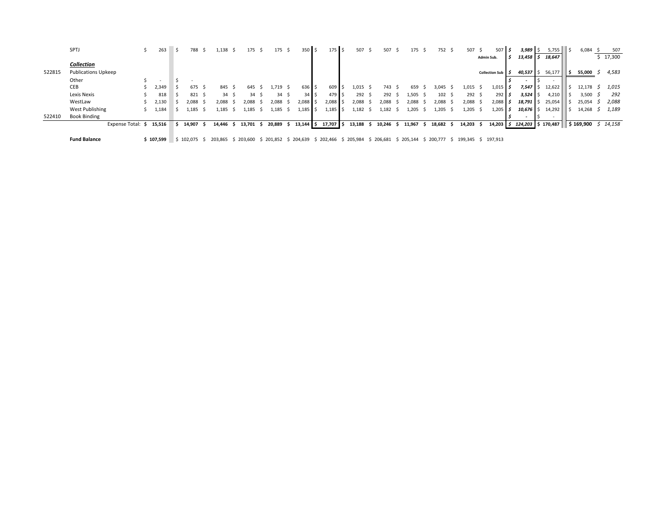|        | SPTJ                       |                         | 263       | 788                   | 138ء    |     | 175     | 175      | 350 <sub>5</sub> |     | $175$ \$ |   | 507     | 507     |     | 175       | 752              | 507                           | - S | 507                   | $3,989$ \$        | 5,755  | 6,084                             |    | 507      |
|--------|----------------------------|-------------------------|-----------|-----------------------|---------|-----|---------|----------|------------------|-----|----------|---|---------|---------|-----|-----------|------------------|-------------------------------|-----|-----------------------|-------------------|--------|-----------------------------------|----|----------|
|        |                            |                         |           |                       |         |     |         |          |                  |     |          |   |         |         |     |           |                  |                               |     | Admin Sub.            | $13,458$ \$       | 18,647 |                                   |    | \$17,300 |
|        | <b>Collection</b>          |                         |           |                       |         |     |         |          |                  |     |          |   |         |         |     |           |                  |                               |     |                       |                   |        |                                   |    |          |
| 522815 | <b>Publications Upkeep</b> |                         |           |                       |         |     |         |          |                  |     |          |   |         |         |     |           |                  |                               |     | <b>Collection Sub</b> | $40,537$ \$       | 56,177 | 55,000                            | -5 | 4,583    |
|        | Other                      |                         |           |                       |         |     |         |          |                  |     |          |   |         |         |     |           |                  |                               |     |                       |                   |        |                                   |    |          |
|        | CEB                        |                         | 2,349     | 675                   | 845     |     | 645     | 1,719 \$ | 636 \$           |     | 609      |   | 1,015   | 743     |     | 659       | 3.045            | 1,015                         |     | $1,015$ $\frac{1}{5}$ | $7,547$ \ \$      | 12,622 | 12,178                            |    | 1,015    |
|        | Lexis Nexis                |                         | 818       | $821 \quad $$         | 34      | - 5 | 34      | 34       | $34$ S           |     | 479 S    |   | 292     | 292     |     | 1,505     | 102 <sup>5</sup> | 292 \$                        |     | 292                   | 3,524             | 4,210  | 3,500                             |    | 292      |
|        | WestLaw                    |                         | 2,130     | 2,088                 | 2.088   |     | 2,088   | 2,088    | $2,088$ \$       |     | 2,088    |   | 2,088   | 2,088   |     | 2,088     | 2,088            | 2,088                         |     | 2,088                 | $18,791$ \$       | 25,054 | 25,054                            |    | 2,088    |
|        | West Publishing            |                         | 1,184     | .,185                 | .,185   |     | 1.185   | 185ء     | 1,185            |     | 1,185    |   | 1,182   | 1,182   |     | .205      | .205             | .,205                         |     | 1,205                 | 10,676            | 14,292 | 14,268                            |    | 1,189    |
| 522410 | <b>Book Binding</b>        |                         |           |                       |         |     |         |          |                  |     |          |   |         |         |     |           |                  |                               |     |                       |                   |        |                                   |    |          |
|        |                            | Expense Total: \$15,516 |           | 14,907                | 14,446  |     | 13,701  | 20,889   | 13,144           | I S | 17,707   |   | 13,188  | 10,246  | - 5 | 11,967    | 18,682           | 14,203                        |     | $14,203$ \$           | 124,203 \$170,487 |        | $\frac{1}{2}$ \$169,900 \$ 14,158 |    |          |
|        |                            |                         |           |                       |         |     |         |          |                  |     |          |   |         |         |     |           |                  |                               |     |                       |                   |        |                                   |    |          |
|        | <b>Fund Balance</b>        |                         | \$107,599 | $\frac{1}{2}$ 102,075 | 203,865 |     | 203,600 | 201,852  | \$204,639        |     | 202,466  | 5 | 205,984 | 206,681 |     | \$205,144 |                  | \$200,777 \$199,345 \$197,913 |     |                       |                   |        |                                   |    |          |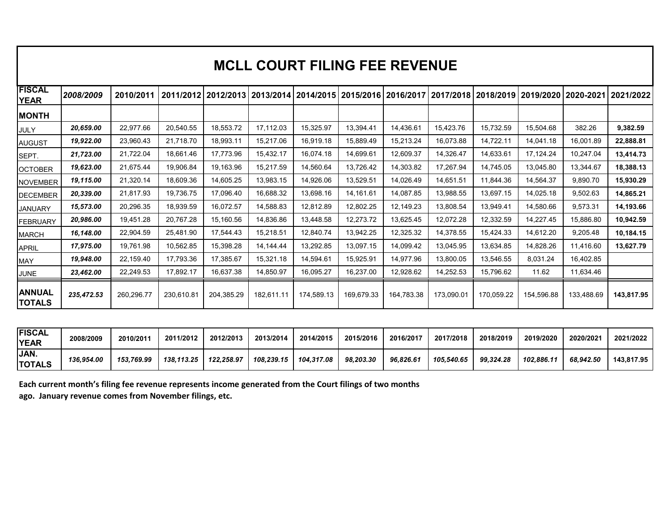|                                    |                        |                        |                        |                                                                                                                                   |                        |                        | <b>MCLL COURT FILING FEE REVENUE</b> |                        |                        |                        |                        |                        |                        |
|------------------------------------|------------------------|------------------------|------------------------|-----------------------------------------------------------------------------------------------------------------------------------|------------------------|------------------------|--------------------------------------|------------------------|------------------------|------------------------|------------------------|------------------------|------------------------|
| <b>FISCAL</b>                      |                        |                        |                        |                                                                                                                                   |                        |                        |                                      |                        |                        |                        |                        |                        |                        |
| <b>YEAR</b>                        | 2008/2009              | 2010/2011              |                        | 2011/2012   2012/2013   2013/2014   2014/2015   2015/2016   2016/2017   2017/2018   2018/2019   2019/2020   2020-2021   2021/2022 |                        |                        |                                      |                        |                        |                        |                        |                        |                        |
| <b>MONTH</b><br><b>JULY</b>        | 20,659.00              | 22,977.66              | 20,540.55              | 18,553.72                                                                                                                         | 17,112.03              | 15,325.97              | 13,394.41                            | 14,436.61              | 15,423.76              | 15,732.59              | 15,504.68              | 382.26                 | 9,382.59               |
| <b>AUGUST</b><br>SEPT.             | 19,922.00<br>21,723.00 | 23,960.43<br>21,722.04 | 21,718.70<br>18,661.46 | 18,993.11<br>17,773.96                                                                                                            | 15,217.06<br>15,432.17 | 16,919.18<br>16,074.18 | 15,889.49<br>14,699.61               | 15,213.24<br>12,609.37 | 16,073.88<br>14,326.47 | 14,722.11<br>14,633.61 | 14,041.18<br>17,124.24 | 16,001.89<br>10,247.04 | 22,888.81<br>13,414.73 |
| <b>OCTOBER</b>                     | 19,623.00              | 21,675.44              | 19,906.84              | 19,163.96                                                                                                                         | 15,217.59              | 14,560.64              | 13,726.42                            | 14,303.82              | 17,267.94              | 14,745.05              | 13,045.80              | 13,344.67              | 18,388.13              |
| <b>NOVEMBER</b><br><b>DECEMBER</b> | 19,115.00<br>20,339.00 | 21,320.14<br>21,817.93 | 18,609.36<br>19,736.75 | 14,605.25<br>17,096.40                                                                                                            | 13,983.15<br>16,688.32 | 14,926.06<br>13,698.16 | 13,529.51<br>14,161.61               | 14,026.49<br>14,087.85 | 14,651.51<br>13,988.55 | 11,844.36<br>13,697.15 | 14,564.37<br>14,025.18 | 9,890.70<br>9,502.63   | 15,930.29<br>14,865.21 |
| <b>JANUARY</b><br><b>FEBRUARY</b>  | 15,573.00<br>20,986.00 | 20,296.35<br>19,451.28 | 18,939.59<br>20,767.28 | 16,072.57<br>15,160.56                                                                                                            | 14,588.83<br>14,836.86 | 12,812.89<br>13,448.58 | 12,802.25<br>12,273.72               | 12,149.23<br>13,625.45 | 13,808.54<br>12,072.28 | 13,949.41<br>12,332.59 | 14,580.66<br>14,227.45 | 9,573.31<br>15,886.80  | 14,193.66<br>10,942.59 |
| <b>MARCH</b>                       | 16,148.00              | 22,904.59              | 25,481.90              | 17,544.43                                                                                                                         | 15,218.51              | 12,840.74              | 13,942.25                            | 12,325.32              | 14,378.55              | 15,424.33              | 14,612.20              | 9,205.48               | 10,184.15              |
| <b>APRIL</b><br><b>MAY</b>         | 17,975.00<br>19,948.00 | 19,761.98<br>22,159.40 | 10,562.85<br>17,793.36 | 15,398.28<br>17,385.67                                                                                                            | 14,144.44<br>15,321.18 | 13,292.85<br>14,594.61 | 13,097.15<br>15,925.91               | 14,099.42<br>14,977.96 | 13,045.95<br>13,800.05 | 13,634.85<br>13,546.55 | 14,828.26<br>8,031.24  | 11,416.60<br>16,402.85 | 13,627.79              |
| <b>JUNE</b>                        | 23,462.00              | 22,249.53              | 17,892.17              | 16,637.38                                                                                                                         | 14,850.97              | 16,095.27              | 16,237.00                            | 12,928.62              | 14,252.53              | 15,796.62              | 11.62                  | 11,634.46              |                        |
| <b>ANNUAL</b><br><b>TOTALS</b>     | 235,472.53             | 260,296.77             | 230,610.81             | 204,385.29                                                                                                                        | 182,611.11             | 174,589.13             | 169,679.33                           | 164,783.38             | 173,090.01             | 170,059.22             | 154,596.88             | 133,488.69             | 143,817.95             |
| <b>FISCAL</b>                      |                        |                        |                        |                                                                                                                                   |                        |                        |                                      |                        |                        |                        |                        |                        |                        |
|                                    |                        |                        |                        |                                                                                                                                   |                        |                        |                                      |                        |                        |                        |                        |                        |                        |
| <b>YEAR</b><br>JAN.                | 2008/2009              | 2010/2011              | 2011/2012              | 2012/2013                                                                                                                         | 2013/2014              | 2014/2015              | 2015/2016                            | 2016/2017              | 2017/2018              | 2018/2019              | 2019/2020              | 2020/2021              | 2021/2022              |

| <b>FISCAL</b><br><b>YEAR</b> | 2008/2009  | 2010/201   | 2011/2012  | 2012/2013  | 2013/2014  | 2014/2015  | 2015/2016 | 2016/2017 | 2017/2018  | 2018/2019 | 2019/2020  | 2020/2021 | 2021/2022  |
|------------------------------|------------|------------|------------|------------|------------|------------|-----------|-----------|------------|-----------|------------|-----------|------------|
| JAN.<br><b>TOTALS</b>        | 136.954.00 | 153.769.99 | 138.113.25 | 122.258.97 | 108.239.15 | 104.317.08 | 98.203.30 | 96.826.61 | 105.540.65 | 99.324.28 | 102.886.11 | 68.942.50 | 143,817.95 |

**Each current month's filing fee revenue represents income generated from the Court filings of two months**  ago. January revenue comes from November filings, etc.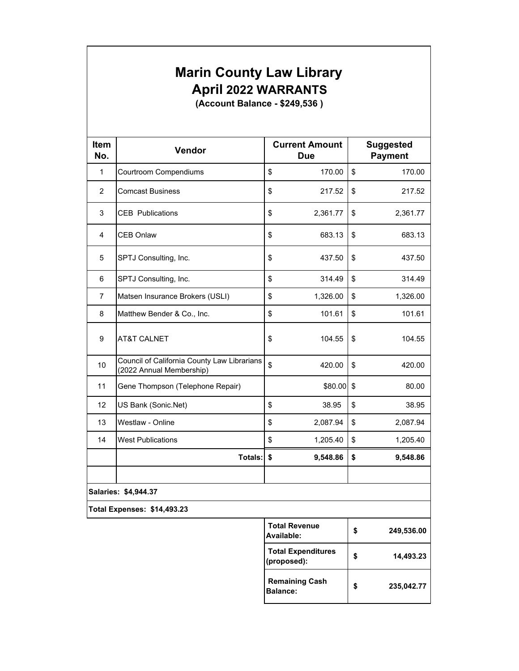## **Marin County Law Library** Marin County Law Library **April 2022 WARRANTS** April 2022 WARRANTS Marin County<br>April 2022 \<br>(Account Balar

|                    | <b>Marin County Law Library</b>                                         |                                          |                                    |
|--------------------|-------------------------------------------------------------------------|------------------------------------------|------------------------------------|
|                    | <b>April 2022 WARRANTS</b>                                              |                                          |                                    |
|                    | (Account Balance - \$249,536)                                           |                                          |                                    |
|                    |                                                                         |                                          |                                    |
| <b>Item</b><br>No. | Vendor                                                                  | <b>Current Amount</b><br><b>Due</b>      | <b>Suggested</b><br><b>Payment</b> |
| $\mathbf{1}$       | Courtroom Compendiums                                                   | \$<br>170.00                             | \$<br>170.00                       |
| 2                  | <b>Comcast Business</b>                                                 | \$<br>217.52                             | \$<br>217.52                       |
| 3                  | <b>CEB</b> Publications                                                 | \$<br>2,361.77                           | \$<br>2,361.77                     |
| 4                  | <b>CEB Onlaw</b>                                                        | \$<br>683.13                             | \$<br>683.13                       |
| 5                  | SPTJ Consulting, Inc.                                                   | \$<br>437.50                             | \$<br>437.50                       |
| 6                  | SPTJ Consulting, Inc.                                                   | \$<br>314.49                             | \$<br>314.49                       |
| $\overline{7}$     | Matsen Insurance Brokers (USLI)                                         | \$<br>1,326.00                           | \$<br>1,326.00                     |
| 8                  | Matthew Bender & Co., Inc.                                              | \$<br>101.61                             | \$<br>101.61                       |
| $\boldsymbol{9}$   | <b>AT&amp;T CALNET</b>                                                  | \$<br>104.55                             | \$<br>104.55                       |
| 10                 | Council of California County Law Librarians<br>(2022 Annual Membership) | \$<br>420.00                             | \$<br>420.00                       |
| 11                 | Gene Thompson (Telephone Repair)                                        | \$80.00                                  | \$<br>80.00                        |
| 12                 | US Bank (Sonic.Net)                                                     | \$<br>38.95                              | \$<br>38.95                        |
| 13                 | Westlaw - Online                                                        | \$<br>2,087.94                           | \$<br>2,087.94                     |
| 14                 | <b>West Publications</b>                                                | \$<br>1,205.40                           | \$<br>1,205.40                     |
|                    | Totals:                                                                 | \$<br>9,548.86                           | \$<br>9,548.86                     |
|                    |                                                                         |                                          |                                    |
|                    | Salaries: \$4,944.37                                                    |                                          |                                    |
|                    | <b>Total Expenses: \$14,493.23</b>                                      |                                          |                                    |
|                    |                                                                         | <b>Total Revenue</b><br>Available:       | \$<br>249,536.00                   |
|                    |                                                                         | <b>Total Expenditures</b><br>(proposed): | \$<br>14,493.23                    |
|                    |                                                                         | <b>Remaining Cash</b><br><b>Balance:</b> | \$<br>235,042.77                   |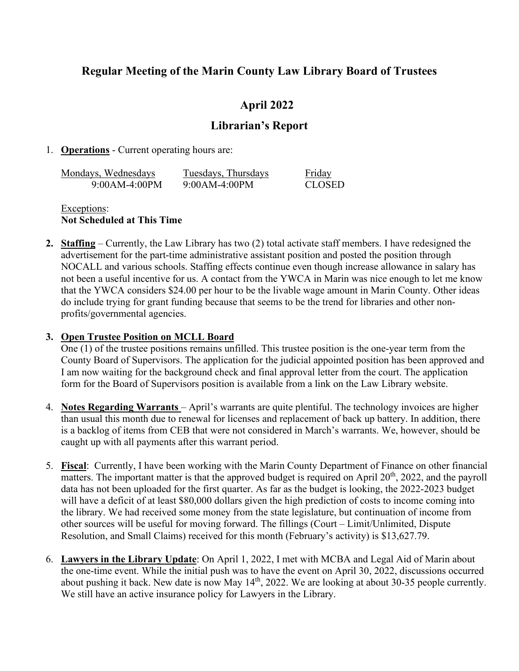### **Regular Meeting of the Marin County Law Library Board of Trustees** Regular Meeting of the Marin County Law Library Board of Trustees

### **April 2022** April 2022

### **Librarian's Report** Librarian's Report

### 1. **Operations** - Current operating hours are: . Operations - Current operating hours are:

| Mondays, Wednesdays | Tuesdays, Thursdays | Friday |
|---------------------|---------------------|--------|
| $9:00AM-4:00PM$     | $9:00AM-4:00PM$     | CLOSED |

Exceptions: Exceptions: **Not Scheduled at This Time** Not Scheduled at This Time

2. **Staffing** – Currently, the Law Library has two (2) total activate staff members. I have redesigned the advertisement for the part-time administrative assistant position and posted the position through advertisement for the part-time administrative assistant position and posted the position through NOCALL and various schools. Staffing effects continue even though increase allowance in salary has NOCALL and various schools. Staffing effects continue even though increase allowance in salary has not been a useful incentive for us. A contact from the YWCA in Marin was nice enough to let me know not been a useful incentive for us. A contact from the YWCA in Marin was nice enough to let me know that the YWCA considers \$24.00 per hour to be the livable wage amount in Marin County. Other ideas that the YWCA considers \$24.00 per hour to be the livable wage amount in Marin County. Other ideas do include trying for grant funding because that seems to be the trend for libraries and other non-do include trying for grant funding because that seems to be the trend for libraries and other nonprofits/governmental agencies. profits/governmental agencies.

### **3. Open Trustee Position on MCLL Board**

One (1) of the trustee positions remains unfilled. This trustee position is the one-year term from the One (1) of the trustee positions remains unfilled. This trustee position is the one-year term from the County Board of Supervisors. The application for the judicial appointed position has been approved and County Board of Supervisors. The application for the judicial appointed position has been approved and I am now waiting for the background check and final approval letter from the court. The application I am now waiting for the background check and final approval letter from the court. The application form for the Board of Supervisors position is available from a link on the Law Library website. form for the Board of Supervisors position is available from a link on the Law Library website.

- 4. Notes Regarding Warrants April's warrants are quite plentiful. The technology invoices are higher than usual this month due to renewal for licenses and replacement of back up battery. In addition, there than usual this month due to renewal for licenses and replacement of back up battery. In addition, there is a backlog of items from CEB that were not considered in March's warrants. We, however, should be is a backlog of items from CEB that were not considered in March's warrants. We, however, should be caught up with all payments after this warrant period. caught up with all payments after this warrant period.
- 5. Fiscal: Currently, I have been working with the Marin County Department of Finance on other financial matters. The important matter is that the approved budget is required on April  $20<sup>th</sup>$ , 2022, and the payroll data has not been uploaded for the first quarter. As far as the budget is looking, the 2022-2023 budget data has not been uploaded for the first quarter. As far as the budget is looking, the 2022-2023 budget will have a deficit of at least \$80,000 dollars given the high prediction of costs to income coming into will have a deficit of at least \$80,000 dollars given the high prediction of costs to income coming into the library. We had received some money from the state legislature, but continuation of income from the library. We had received some money from the state legislature, but continuation of income from other sources will be useful for moving forward. The fillings (Court – Limit/Unlimited, Dispute other sources will be useful for moving forward. The fillings (Court — Limit/Unlimited, Dispute Resolution, and Small Claims) received for this month (February's activity) is \$13,627.79. Resolution, and Small Claims) received for this month (February's activity) is \$13,627.79.
- 6. **Lawyers in the Library Update**: On April 1, 2022, I met with MCBA and Legal Aid of Marin about . Lawyers in the Library Update: On April 1, 2022, I met with MCBA and Legal Aid of Marin about the one-time event. While the initial push was to have the event on April 30, 2022, discussions occurred the one-time event. While the initial push was to have the event on April 30, 2022, discussions occurred about pushing it back. New date is now May 14<sup>th</sup>, 2022. We are looking at about 30-35 people currently. We still have an active insurance policy for Lawyers in the Library. We still have an active insurance policy for Lawyers in the Library.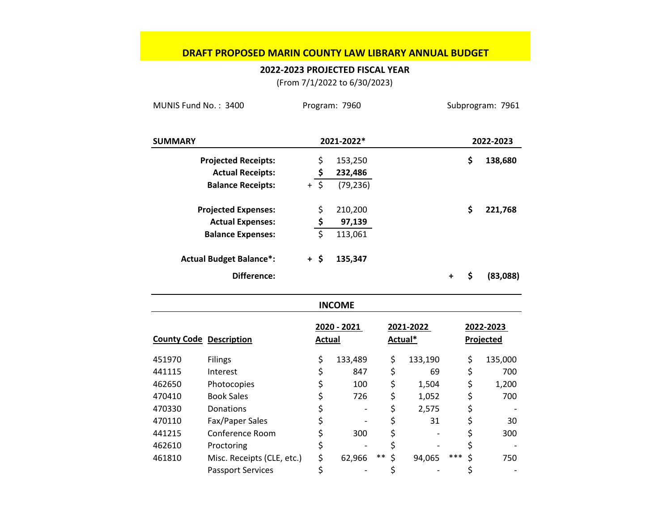### **DRAFT PROPOSED MARIN COUNTY LAW LIBRARY ANNUAL BUDGET** DRAFT PROPOSED MARIN COUNTY LAW LIBRARY ANNUAL BUDGET

### **2022‐2023 PROJECTED FISCAL YEAR** 2022-2023 PROJECTED FISCAL YEAR

(From 7/1/2022 to 6/30/2023) (From 7/1/2022 to 6/30/2023)

| MUNIS Fund No.: 3400           |                                |                | Program: 7960 |             |           |           | Subprogram: 7961 |
|--------------------------------|--------------------------------|----------------|---------------|-------------|-----------|-----------|------------------|
| <b>SUMMARY</b>                 |                                |                | 2021-2022*    |             |           |           | 2022-2023        |
|                                | <b>Projected Receipts:</b>     | \$             | 153,250       |             |           |           | \$<br>138,680    |
|                                | <b>Actual Receipts:</b>        | \$             | 232,486       |             |           |           |                  |
|                                | <b>Balance Receipts:</b>       | $\zeta$<br>$+$ | (79, 236)     |             |           |           |                  |
|                                | <b>Projected Expenses:</b>     | \$             | 210,200       |             |           |           | \$<br>221,768    |
|                                | <b>Actual Expenses:</b>        | \$             | 97,139        |             |           |           |                  |
|                                | <b>Balance Expenses:</b>       |                | 113,061       |             |           |           |                  |
|                                | <b>Actual Budget Balance*:</b> | $+$ \$         | 135,347       |             |           |           |                  |
|                                | <b>Difference:</b>             |                |               |             |           | $\ddot{}$ | \$<br>(83,088)   |
|                                |                                |                | <b>INCOME</b> |             |           |           |                  |
|                                |                                |                | 2020 - 2021   |             | 2021-2022 |           | 2022-2023        |
| <b>County Code Description</b> |                                | <b>Actual</b>  |               |             | Actual*   |           | <b>Projected</b> |
| 451970                         | <b>Filings</b>                 | \$             | 133,489       | \$          | 133,190   |           | \$<br>135,000    |
| 441115                         | Interest                       | \$             | 847           | \$          | 69        |           | \$<br>700        |
| 462650                         | Photocopies                    | \$             | 100           | \$          | 1,504     |           | \$<br>1,200      |
| 470410                         | <b>Book Sales</b>              | \$             | 726           | \$          | 1,052     |           | \$<br>700        |
| 470330                         | Donations                      | \$             |               | \$          | 2,575     |           | \$               |
| 470110                         | Fax/Paper Sales                | \$             |               | \$          | 31        |           | \$<br>30         |
| 441215                         | Conference Room                | \$             | 300           | \$          |           |           | \$<br>300        |
| 462610                         | Proctoring                     | \$             |               | \$          |           |           | \$               |
| 461810                         | Misc. Receipts (CLE, etc.)     | \$             | 62,966        | \$<br>$***$ | 94,065    | ***       | \$<br>750        |
|                                | <b>Passport Services</b>       | \$             |               | \$          |           |           | \$               |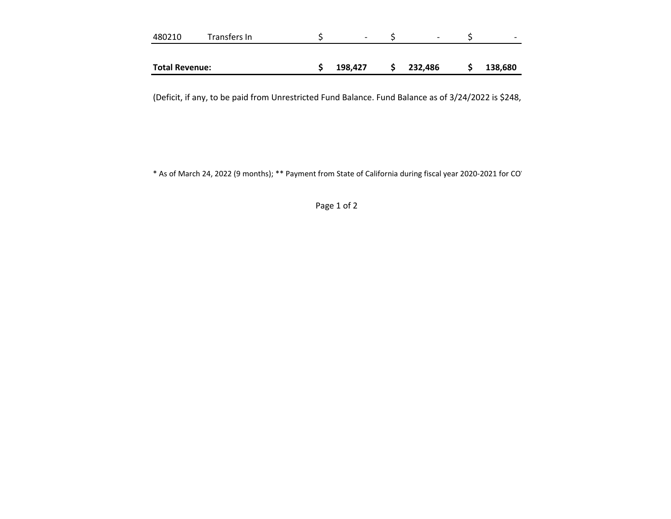| 480210                | Transfers In | -       | $\overline{\phantom{a}}$ | $\overline{\phantom{0}}$ |
|-----------------------|--------------|---------|--------------------------|--------------------------|
|                       |              |         |                          |                          |
| <b>Total Revenue:</b> |              | 198,427 | 232,486                  | 138,680                  |

(Deficit, if any, to be paid from Unrestricted Fund Balance. Fund Balance as of 3/24/2022 is \$248, (Deficit, if any, to be paid from Unrestricted Fund Balance. Fund Balance as of 3/24/2022 is \$248,

\* As of March 24, 2022 (9 months); \*\* Payment from State of California during fiscal year 2020‐2021 for COV \* As of March 24, 2022 (9 months); \*\* Payment from State of California during fiscal year 2020-2021 for CO'

Page 1 of 2 Page 1 of 2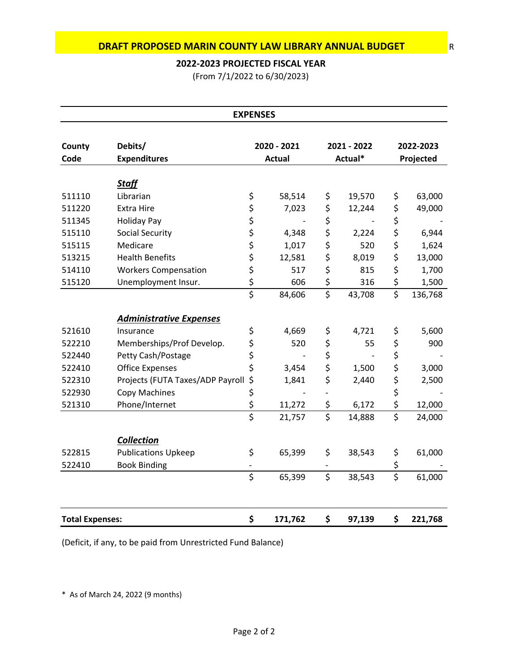### **2022‐2023 PROJECTED FISCAL YEAR** 2022-2023 PROJECTED FISCAL YEAR

|                        | DRAFT PROPOSED MARIN COUNTY LAW LIBRARY ANNUAL BUDGET |                        |                              |                                     |                        |                        |                             |
|------------------------|-------------------------------------------------------|------------------------|------------------------------|-------------------------------------|------------------------|------------------------|-----------------------------|
|                        | 2022-2023 PROJECTED FISCAL YEAR                       |                        |                              |                                     |                        |                        |                             |
|                        | (From 7/1/2022 to 6/30/2023)                          |                        |                              |                                     |                        |                        |                             |
|                        |                                                       |                        |                              |                                     |                        |                        |                             |
|                        |                                                       | <b>EXPENSES</b>        |                              |                                     |                        |                        |                             |
| County<br>Code         | Debits/<br><b>Expenditures</b>                        |                        | 2020 - 2021<br><b>Actual</b> |                                     | 2021 - 2022<br>Actual* |                        | 2022-2023<br>Projected      |
|                        |                                                       |                        |                              |                                     |                        |                        |                             |
| 511110                 | <b>Staff</b><br>Librarian                             | \$                     | 58,514                       |                                     | 19,570                 |                        | 63,000                      |
| 511220                 | <b>Extra Hire</b>                                     | \$                     | 7,023                        | \$<br>\$                            | 12,244                 | \$<br>\$               | 49,000                      |
| 511345                 | <b>Holiday Pay</b>                                    | \$                     |                              | \$                                  |                        | \$                     |                             |
| 515110                 | Social Security                                       | \$                     | 4,348                        | \$                                  | 2,224                  | \$                     | 6,944                       |
| 515115                 | Medicare                                              | \$                     | 1,017                        | \$                                  | 520                    | \$                     | 1,624                       |
| 513215                 | <b>Health Benefits</b>                                | \$                     | 12,581                       | \$                                  | 8,019                  | \$                     | 13,000                      |
| 514110                 | <b>Workers Compensation</b>                           | \$                     | 517                          | \$                                  | 815                    | \$                     | 1,700                       |
| 515120                 | Unemployment Insur.                                   | \$                     | 606                          | \$                                  | 316                    | \$                     | 1,500                       |
|                        |                                                       | $\overline{\xi}$       | 84,606                       | $\overline{\xi}$                    | 43,708                 | $\overline{\xi}$       | 136,768                     |
|                        | <b>Administrative Expenses</b>                        |                        |                              |                                     |                        |                        |                             |
| 521610                 | Insurance                                             | \$                     | 4,669                        | \$                                  | 4,721                  | \$                     | 5,600                       |
|                        | Memberships/Prof Develop.                             | \$                     | 520                          | \$                                  | 55                     | \$                     | 900                         |
| 522210                 |                                                       | \$                     |                              | \$                                  |                        | \$                     |                             |
| 522440                 | Petty Cash/Postage                                    |                        | 3,454                        | \$                                  | 1,500                  | \$                     | 3,000                       |
| 522410                 | <b>Office Expenses</b>                                | \$                     |                              |                                     |                        |                        |                             |
|                        |                                                       |                        |                              |                                     |                        |                        |                             |
| 522310                 | Projects (FUTA Taxes/ADP Payroll                      | \$                     | 1,841                        | \$<br>$\overline{\phantom{a}}$      | 2,440                  | \$                     | 2,500                       |
| 522930                 | Copy Machines                                         | \$                     |                              |                                     |                        | \$                     |                             |
| 521310                 | Phone/Internet                                        | \$<br>$\overline{\xi}$ | 11,272<br>21,757             | \$<br>$\overline{\boldsymbol{\xi}}$ | 6,172<br>14,888        | \$<br>$\overline{\xi}$ |                             |
|                        |                                                       |                        |                              |                                     |                        |                        |                             |
|                        | <b>Collection</b>                                     |                        |                              |                                     |                        |                        |                             |
| 522815                 | <b>Publications Upkeep</b>                            | \$                     | 65,399                       | \$                                  | 38,543                 | \$                     |                             |
| 522410                 | <b>Book Binding</b>                                   | \$                     | 65,399                       | $\qquad \qquad -$<br>\$             | 38,543                 | \$<br>$\overline{\xi}$ | 24,000<br>61,000            |
|                        |                                                       |                        |                              |                                     |                        |                        |                             |
| <b>Total Expenses:</b> |                                                       | \$                     | 171,762                      | \$                                  | 97,139                 | \$                     | 12,000<br>61,000<br>221,768 |

(Deficit, if any, to be paid from Unrestricted Fund Balance) (Deficit, if any, to be paid from Unrestricted Fund Balance)

\* As of March 24, 2022 (9 months) \* As of March 24, 2022 (9 months)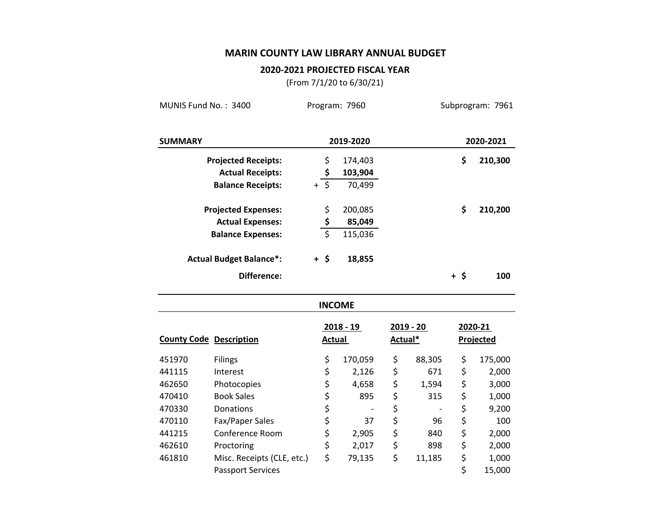### **MARIN COUNTY LAW LIBRARY ANNUAL BUDGET** MARIN COUNTY LAW LIBRARY ANNUAL BUDGET

### **2020‐2021 PROJECTED FISCAL YEAR** 2020-2021 PROJECTED FISCAL YEAR

(From 7/1/20 to 6/30/21) (From 7/1/20 to 6/30/21)

| MUNIS Fund No.: 3400           |                                |                   |             | Program: 7960 |         |                          |        | Subprogram: 7961 |
|--------------------------------|--------------------------------|-------------------|-------------|---------------|---------|--------------------------|--------|------------------|
| <b>SUMMARY</b>                 |                                |                   |             | 2019-2020     |         |                          |        | 2020-2021        |
|                                | <b>Projected Receipts:</b>     |                   | \$          | 174,403       |         |                          | \$     | 210,300          |
|                                | <b>Actual Receipts:</b>        |                   | \$          | 103,904       |         |                          |        |                  |
|                                | <b>Balance Receipts:</b>       | $+\overline{\xi}$ |             | 70,499        |         |                          |        |                  |
|                                | <b>Projected Expenses:</b>     |                   | \$          | 200,085       |         |                          | \$     | 210,200          |
|                                | <b>Actual Expenses:</b>        |                   |             | 85,049        |         |                          |        |                  |
|                                | <b>Balance Expenses:</b>       |                   | $rac{5}{5}$ | 115,036       |         |                          |        |                  |
|                                | <b>Actual Budget Balance*:</b> | $+$ \$            |             | 18,855        |         |                          |        |                  |
|                                | Difference:                    |                   |             |               |         |                          | $+$ \$ | 100              |
|                                |                                |                   |             | <b>INCOME</b> |         |                          |        |                  |
|                                |                                |                   |             | $2018 - 19$   |         | 2019 - 20                |        | 2020-21          |
| <b>County Code Description</b> |                                |                   |             | <b>Actual</b> | Actual* |                          |        | <b>Projected</b> |
| 451970                         | <b>Filings</b>                 |                   | \$          | 170,059       | \$      | 88,305                   | \$     | 175,000          |
| 441115                         | Interest                       |                   | \$          | 2,126         | \$      | 671                      | \$     | 2,000            |
| 462650                         | Photocopies                    |                   | \$          | 4,658         | \$      | 1,594                    | \$     | 3,000            |
| 470410                         | <b>Book Sales</b>              |                   | \$          | 895           | \$      | 315                      | \$     | 1,000            |
| 470330                         | Donations                      |                   | \$          |               | \$      | $\overline{\phantom{a}}$ | \$     | 9,200            |
| 470110                         | Fax/Paper Sales                |                   | \$          | 37            | \$      | 96                       | \$     | 100              |
| 441215                         | Conference Room                |                   | \$          | 2,905         | \$      | 840                      | \$     | 2,000            |
| 462610                         | Proctoring                     |                   | \$          | 2,017         | \$      | 898                      | \$     | 2,000            |
| 461810                         | Misc. Receipts (CLE, etc.)     |                   | \$          | 79,135        | \$      | 11,185                   | \$     | 1,000            |
|                                | <b>Passport Services</b>       |                   |             |               |         |                          | \$     | 15,000           |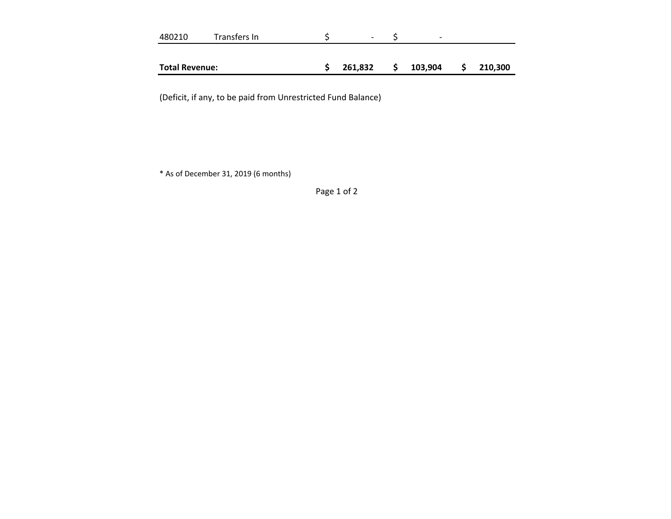| 480210                | Transfers In | $\overline{\phantom{a}}$ | $\overline{\phantom{0}}$ |   |         |
|-----------------------|--------------|--------------------------|--------------------------|---|---------|
|                       |              |                          |                          |   |         |
| <b>Total Revenue:</b> |              | 261,832                  | 103,904                  | S | 210,300 |

(Deficit, if any, to be paid from Unrestricted Fund Balance) (Deficit, if any, to be paid from Unrestricted Fund Balance)

\* As of December 31, 2019 (6 months) \* As of December 31, 2019 (6 months)

Page 1 of 2 Page 1 of 2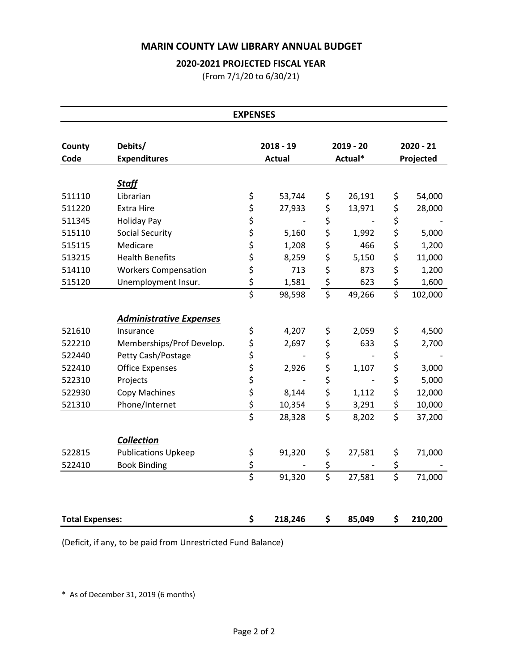# **MARIN COUNTY LAW LIBRARY ANNUAL BUDGET** MARIN COUNTY LAW LIBRARY ANNUAL BUDGET MARIN COUNTY LAW LIB<br>2020-2021 PROJEC<br>(From 7/1/20

### **2020‐2021 PROJECTED FISCAL YEAR** 2020-2021 PROJECTED FISCAL YEAR

|                        | <b>MARIN COUNTY LAW LIBRARY ANNUAL BUDGET</b> |                        |                              |                                       |                        |                        |                          |
|------------------------|-----------------------------------------------|------------------------|------------------------------|---------------------------------------|------------------------|------------------------|--------------------------|
|                        | 2020-2021 PROJECTED FISCAL YEAR               |                        |                              |                                       |                        |                        |                          |
|                        |                                               |                        | (From 7/1/20 to 6/30/21)     |                                       |                        |                        |                          |
|                        |                                               | <b>EXPENSES</b>        |                              |                                       |                        |                        |                          |
|                        |                                               |                        |                              |                                       |                        |                        |                          |
| County<br>Code         | Debits/<br><b>Expenditures</b>                |                        | $2018 - 19$<br><b>Actual</b> |                                       | $2019 - 20$<br>Actual* |                        | $2020 - 21$<br>Projected |
|                        |                                               |                        |                              |                                       |                        |                        |                          |
| 511110                 | <b>Staff</b><br>Librarian                     | \$                     | 53,744                       | \$                                    | 26,191                 | \$                     | 54,000                   |
| 511220                 | <b>Extra Hire</b>                             | \$                     | 27,933                       | \$                                    | 13,971                 | \$                     | 28,000                   |
| 511345                 | <b>Holiday Pay</b>                            | \$                     |                              | \$                                    |                        | \$                     |                          |
| 515110                 | Social Security                               | \$                     | 5,160                        | \$                                    | 1,992                  | \$                     | 5,000                    |
| 515115                 | Medicare                                      | \$                     | 1,208                        | \$                                    | 466                    | \$                     | 1,200                    |
| 513215                 | <b>Health Benefits</b>                        | \$                     | 8,259                        | \$                                    | 5,150                  | \$                     | 11,000                   |
| 514110                 | <b>Workers Compensation</b>                   | \$                     | 713                          | \$                                    | 873                    | \$                     | 1,200                    |
| 515120                 | Unemployment Insur.                           | \$<br>$\overline{\xi}$ | 1,581<br>98,598              | \$<br>$\overline{\xi}$                | 623<br>49,266          | \$<br>\$               | 1,600<br>102,000         |
|                        |                                               |                        |                              |                                       |                        |                        |                          |
|                        | <b>Administrative Expenses</b>                |                        |                              |                                       |                        |                        |                          |
| 521610                 | Insurance                                     | \$                     | 4,207                        | \$                                    | 2,059                  | \$                     | 4,500                    |
| 522210                 | Memberships/Prof Develop.                     | \$                     | 2,697                        | \$                                    | 633                    | \$                     | 2,700                    |
| 522440                 | Petty Cash/Postage                            | \$                     |                              | \$                                    |                        | \$                     |                          |
| 522410                 | <b>Office Expenses</b>                        | \$                     | 2,926                        | \$<br>\$                              | 1,107                  | \$                     | 3,000                    |
| 522310                 | Projects                                      | \$                     | $\overline{\phantom{a}}$     |                                       |                        | \$                     | 5,000                    |
| 522930                 | Copy Machines                                 | \$                     | 8,144                        | \$                                    | 1,112                  | \$                     | 12,000                   |
| 521310                 | Phone/Internet                                | \$<br>$\overline{\xi}$ | 10,354<br>28,328             | \$<br>$\overline{\xi}$                | 3,291<br>8,202         | \$<br>$\overline{\xi}$ | 10,000<br>37,200         |
|                        |                                               |                        |                              |                                       |                        |                        |                          |
| 522815                 | <b>Collection</b>                             |                        |                              |                                       |                        |                        |                          |
| 522410                 | <b>Publications Upkeep</b>                    | \$                     | 91,320                       | \$                                    | 27,581                 | \$                     | 71,000                   |
|                        | <b>Book Binding</b>                           | $rac{5}{5}$            | 91,320                       | \$<br>$\overline{\boldsymbol{\zeta}}$ | 27,581                 | \$<br>$\overline{\xi}$ | 71,000                   |
|                        |                                               |                        |                              |                                       |                        |                        |                          |
| <b>Total Expenses:</b> |                                               | \$                     | 218,246                      | \$                                    | 85,049                 | \$                     | 210,200                  |

(Deficit, if any, to be paid from Unrestricted Fund Balance) (Deficit, if any, to be paid from Unrestricted Fund Balance)

\* As of December 31, 2019 (6 months) \* As of December 31, 2019 (6 months)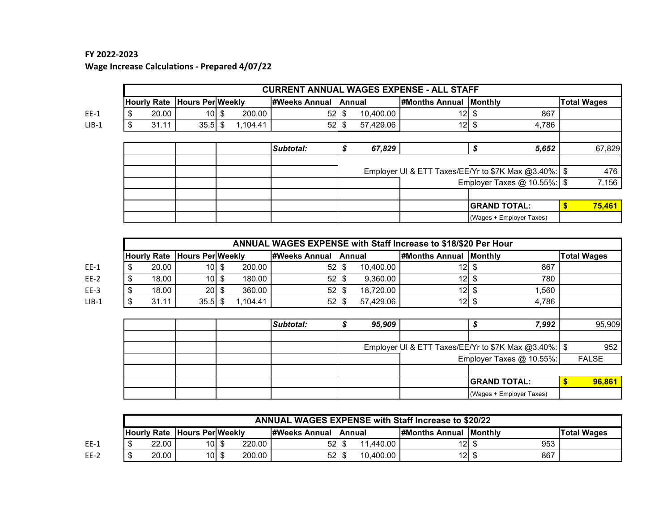### **FY 2022‐2023** FY 2022-2023

**Wage Increase Calculations ‐ Prepared 4/07/22** Wage Increase Calculations - Prepared 4/07/22

|         | <b>CURRENT ANNUAL WAGES EXPENSE - ALL STAFF</b> |                    |                         |    |          |                      |     |           |                               |                                                      |                    |        |  |  |
|---------|-------------------------------------------------|--------------------|-------------------------|----|----------|----------------------|-----|-----------|-------------------------------|------------------------------------------------------|--------------------|--------|--|--|
|         |                                                 | <b>Hourly Rate</b> | <b>Hours Per Weekly</b> |    |          | <b>#Weeks Annual</b> |     | Annual    | <b>#Months Annual Monthly</b> |                                                      | <b>Total Wages</b> |        |  |  |
| $EE-1$  |                                                 | 20.00              | 10                      | \$ | 200.00   | 52 <sub>l</sub>      | \$. | 10,400.00 | 12I                           | 867                                                  |                    |        |  |  |
| $LIB-1$ |                                                 | 31.11              | $35.5$ \$               |    | 1,104.41 | 52                   | -S  | 57,429.06 | 12 <sub>l</sub>               | 4,786<br>\$                                          |                    |        |  |  |
|         |                                                 |                    |                         |    |          |                      |     |           |                               |                                                      |                    |        |  |  |
|         |                                                 |                    |                         |    |          | Subtotal:            |     | 67,829    |                               | \$<br>5,652                                          |                    | 67,829 |  |  |
|         |                                                 |                    |                         |    |          |                      |     |           |                               |                                                      |                    |        |  |  |
|         |                                                 |                    |                         |    |          |                      |     |           |                               | Employer UI & ETT Taxes/EE/Yr to \$7K Max @3.40%: \$ |                    | 476    |  |  |
|         |                                                 |                    |                         |    |          |                      |     |           |                               | Employer Taxes $@$ 10.55%: \$                        |                    | 7,156  |  |  |
|         |                                                 |                    |                         |    |          |                      |     |           |                               |                                                      |                    |        |  |  |
|         |                                                 |                    |                         |    |          |                      |     |           |                               | <b>GRAND TOTAL:</b>                                  |                    | 75,461 |  |  |
|         |                                                 |                    |                         |    |          |                      |     |           |                               | (Wages + Employer Taxes)                             |                    |        |  |  |

|         | ANNUAL WAGES EXPENSE with Staff Increase to \$18/\$20 Per Hour |       |                         |    |          |                      |    |           |                               |                                                        |          |                    |  |  |  |
|---------|----------------------------------------------------------------|-------|-------------------------|----|----------|----------------------|----|-----------|-------------------------------|--------------------------------------------------------|----------|--------------------|--|--|--|
|         | <b>Hourly Rate</b>                                             |       | <b>Hours Per Weekly</b> |    |          | <b>#Weeks Annual</b> |    | Annual    | <b>#Months Annual Monthly</b> |                                                        |          | <b>Total Wages</b> |  |  |  |
| $EE-1$  | \$                                                             | 20.00 | 10 <sup>1</sup>         | \$ | 200.00   | 52                   | \$ | 10,400.00 | 12 <sub>l</sub>               | 867<br>S                                               |          |                    |  |  |  |
| $EE-2$  | \$                                                             | 18.00 | 10 <sup>1</sup>         | \$ | 180.00   | 52                   |    | 9,360.00  | 12 <sub>l</sub>               | 780                                                    |          |                    |  |  |  |
| $EE-3$  | \$                                                             | 18.00 | 20                      | \$ | 360.00   | 52                   | \$ | 18,720.00 | 12                            | \$<br>1,560                                            |          |                    |  |  |  |
| $LIB-1$ | \$                                                             | 31.11 | $35.5$ \$               |    | 1.104.41 | $52$ \$              |    | 57,429.06 | 12                            | \$<br>4,786                                            |          |                    |  |  |  |
|         |                                                                |       |                         |    |          |                      |    |           |                               |                                                        |          |                    |  |  |  |
|         |                                                                |       |                         |    |          | Subtotal:            | S  | 95,909    |                               | 7,992<br>S                                             |          | 95,909             |  |  |  |
|         |                                                                |       |                         |    |          |                      |    |           |                               | Employer UI & ETT Taxes/EE/Yr to \$7K Max @3.40%:   \$ |          | 952                |  |  |  |
|         |                                                                |       |                         |    |          |                      |    |           |                               | Employer Taxes @ 10.55%:                               |          | <b>FALSE</b>       |  |  |  |
|         |                                                                |       |                         |    |          |                      |    |           |                               |                                                        |          |                    |  |  |  |
|         |                                                                |       |                         |    |          |                      |    |           |                               | <b>GRAND TOTAL:</b>                                    | <b>S</b> | 96,861             |  |  |  |
|         |                                                                |       |                         |    |          |                      |    |           |                               | (Wages + Employer Taxes)                               |          |                    |  |  |  |

|        |                                     | ANNUAL WAGES EXPENSE with Staff Increase to \$20/22 |        |  |        |                               |  |                               |      |                    |  |  |  |  |  |  |
|--------|-------------------------------------|-----------------------------------------------------|--------|--|--------|-------------------------------|--|-------------------------------|------|--------------------|--|--|--|--|--|--|
|        | <b>Hourly Rate Hours PerlWeekly</b> |                                                     |        |  |        | <b>I#Weeks Annual IAnnual</b> |  | <b>HMonths Annual Monthly</b> |      | <b>Total Wages</b> |  |  |  |  |  |  |
| $EE-1$ |                                     | 22.00                                               | $10$ s |  | 220.00 | 52   \$                       |  | 1.440.00                      | 10 I | 953                |  |  |  |  |  |  |
| $EE-2$ |                                     | 20.00                                               | $10$ s |  | 200.00 | 52I \$                        |  | 10.400.00                     | 12I  | 867                |  |  |  |  |  |  |

 $EE-1$